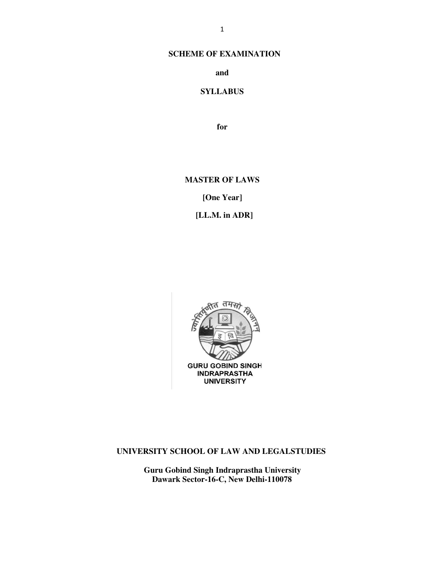#### **SCHEME OF EXAMINATION**

**and**

#### **SYLLABUS**

**for**

#### **MASTER OF LAWS**

**[One Year]**

**[LL.M. in ADR]**



#### **UNIVERSITY SCHOOL OF LAW AND LEGALSTUDIES**

**Guru Gobind Singh Indraprastha University Dawark Sector-16-C, New Delhi-110078**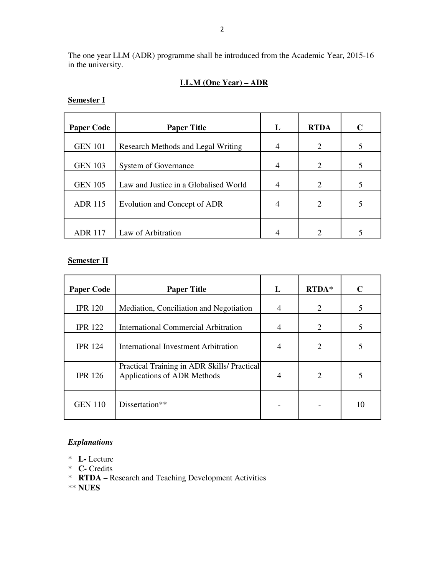The one year LLM (ADR) programme shall be introduced from the Academic Year, 2015-16 in the university.

### **LL.M (One Year) – ADR**

| <b>Paper Code</b> | <b>Paper Title</b>                    | L | <b>RTDA</b>    | C |
|-------------------|---------------------------------------|---|----------------|---|
| <b>GEN 101</b>    | Research Methods and Legal Writing    | 4 | 2              | 5 |
| <b>GEN 103</b>    | <b>System of Governance</b>           | 4 | 2              |   |
| <b>GEN 105</b>    | Law and Justice in a Globalised World | 4 | 2              |   |
| <b>ADR 115</b>    | Evolution and Concept of ADR          | 4 | $\overline{2}$ |   |
| <b>ADR</b> 117    | Law of Arbitration                    |   | ↑              |   |

### **Semester I**

### **Semester II**

| <b>Paper Code</b> | <b>Paper Title</b>                                                         | L              | RTDA* | $\mathbf C$ |
|-------------------|----------------------------------------------------------------------------|----------------|-------|-------------|
| <b>IPR 120</b>    | Mediation, Conciliation and Negotiation                                    | $\overline{4}$ | 2     | 5           |
| <b>IPR 122</b>    | <b>International Commercial Arbitration</b>                                | 4              | 2     | 5           |
| <b>IPR 124</b>    | International Investment Arbitration                                       | 4              | 2     |             |
| <b>IPR 126</b>    | Practical Training in ADR Skills/ Practical<br>Applications of ADR Methods | 4              | 2     |             |
| <b>GEN 110</b>    | Dissertation**                                                             |                |       | 10          |

### *Explanations*

- \* **L-** Lecture
- \* **C-** Credits
- \* **RTDA** Research and Teaching Development Activities

\*\* **NUES**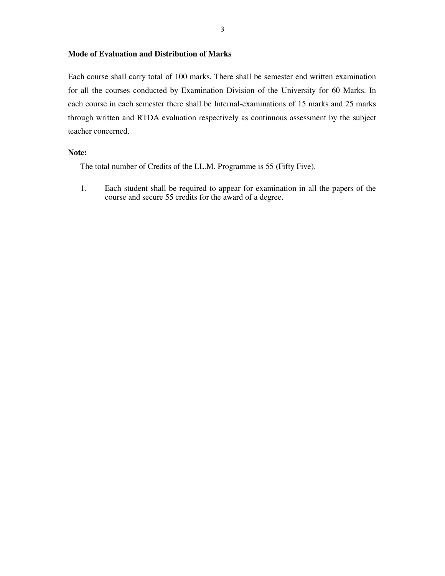### **Mode of Evaluation and Distribution of Marks**

Each course shall carry total of 100 marks. There shall be semester end written examination for all the courses conducted by Examination Division of the University for 60 Marks. In each course in each semester there shall be Internal-examinations of 15 marks and 25 marks through written and RTDA evaluation respectively as continuous assessment by the subject teacher concerned.

#### **Note:**

The total number of Credits of the LL.M. Programme is 55 (Fifty Five).

1. Each student shall be required to appear for examination in all the papers of the course and secure 55 credits for the award of a degree.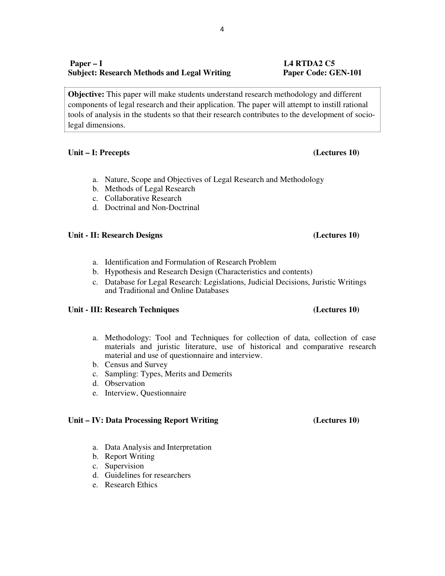### **Paper – I L4 RTDA2 C5 Subject: Research Methods and Legal Writing Paper Code: GEN-101**

**Objective:** This paper will make students understand research methodology and different components of legal research and their application. The paper will attempt to instill rational tools of analysis in the students so that their research contributes to the development of sociolegal dimensions.

#### **Unit – I: Precepts (Lectures 10)**

- a. Nature, Scope and Objectives of Legal Research and Methodology
- b. Methods of Legal Research
- c. Collaborative Research
- d. Doctrinal and Non-Doctrinal

#### **Unit - II: Research Designs (Lectures 10)**

- a. Identification and Formulation of Research Problem
- b. Hypothesis and Research Design (Characteristics and contents)
- c. Database for Legal Research: Legislations, Judicial Decisions, Juristic Writings and Traditional and Online Databases

#### **Unit - III: Research Techniques (Lectures 10)**

- a. Methodology: Tool and Techniques for collection of data, collection of case materials and juristic literature, use of historical and comparative research material and use of questionnaire and interview.
- b. Census and Survey
- c. Sampling: Types, Merits and Demerits
- d. Observation
- e. Interview, Questionnaire

#### **Unit – IV: Data Processing Report Writing (Lectures 10)**

- a. Data Analysis and Interpretation
- b. Report Writing
- c. Supervision
- d. Guidelines for researchers
- e. Research Ethics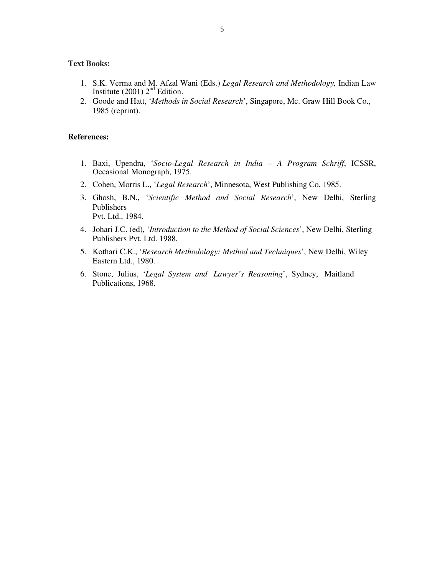#### **Text Books:**

- 1. S.K. Verma and M. Afzal Wani (Eds.) *Legal Research and Methodology,* Indian Law Institute  $(2001)$   $2<sup>nd</sup>$  Edition.
- 2. Goode and Hatt, '*Methods in Social Research*', Singapore, Mc. Graw Hill Book Co., 1985 (reprint).

- 1. Baxi, Upendra, '*Socio-Legal Research in India – A Program Schriff*, ICSSR, Occasional Monograph, 1975.
- 2. Cohen, Morris L., '*Legal Research*', Minnesota, West Publishing Co. 1985.
- 3. Ghosh, B.N., '*Scientific Method and Social Research*', New Delhi, Sterling Publishers Pvt. Ltd., 1984.
- 4. Johari J.C. (ed), '*Introduction to the Method of Social Sciences*', New Delhi, Sterling Publishers Pvt. Ltd. 1988.
- 5. Kothari C.K., '*Research Methodology: Method and Techniques*', New Delhi, Wiley Eastern Ltd., 1980.
- 6. Stone, Julius, '*Legal System and Lawyer's Reasoning*', Sydney, Maitland Publications, 1968.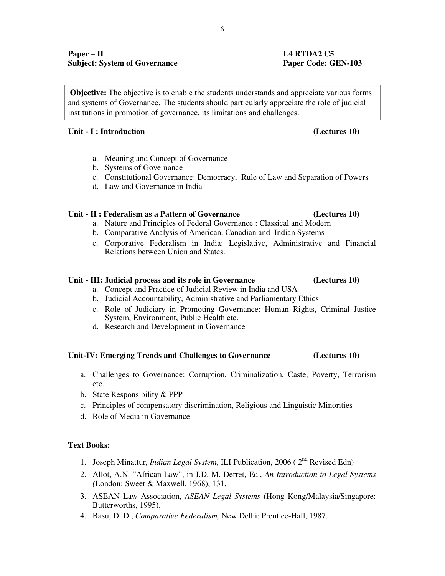### **Paper – II L4 RTDA2 C5 Subject: System of Governance Paper Code: GEN-103**

**Objective:** The objective is to enable the students understands and appreciate various forms and systems of Governance. The students should particularly appreciate the role of judicial institutions in promotion of governance, its limitations and challenges.

### **Unit - I : Introduction (Lectures 10)**

- a. Meaning and Concept of Governance
- b. Systems of Governance
- c. Constitutional Governance: Democracy, Rule of Law and Separation of Powers
- d. Law and Governance in India

### **Unit - II : Federalism as a Pattern of Governance (Lectures 10)**

- a. Nature and Principles of Federal Governance : Classical and Modern
- b. Comparative Analysis of American, Canadian and Indian Systems
- c. Corporative Federalism in India: Legislative, Administrative and Financial Relations between Union and States.

### **Unit - III: Judicial process and its role in Governance (Lectures 10)**

- a. Concept and Practice of Judicial Review in India and USA
- b. Judicial Accountability, Administrative and Parliamentary Ethics
- c. Role of Judiciary in Promoting Governance: Human Rights, Criminal Justice System, Environment, Public Health etc.
- d. Research and Development in Governance

### **Unit-IV: Emerging Trends and Challenges to Governance (Lectures 10)**

- a. Challenges to Governance: Corruption, Criminalization, Caste, Poverty, Terrorism etc.
- b. State Responsibility & PPP
- c. Principles of compensatory discrimination, Religious and Linguistic Minorities
- d. Role of Media in Governance

### **Text Books:**

- 1. Joseph Minattur, *Indian Legal System*, ILI Publication, 2006 ( 2nd Revised Edn)
- 2. Allot, A.N. "African Law", in J.D. M. Derret, Ed., *An Introduction to Legal Systems (*London: Sweet & Maxwell, 1968), 131.
- 3. ASEAN Law Association, *ASEAN Legal Systems* (Hong Kong/Malaysia/Singapore: Butterworths, 1995).
- 4. Basu, D. D., *Comparative Federalism,* New Delhi: Prentice-Hall, 1987.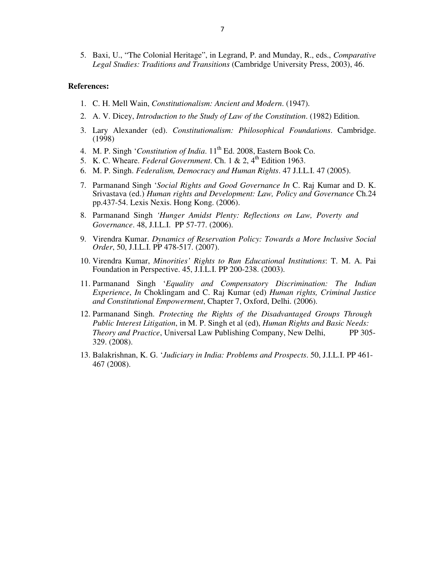5. Baxi, U., "The Colonial Heritage", in Legrand, P. and Munday, R., eds., *Comparative Legal Studies: Traditions and Transitions* (Cambridge University Press, 2003), 46.

- 1. C. H. Mell Wain, *Constitutionalism: Ancient and Modern*. (1947).
- 2. A. V. Dicey, *Introduction to the Study of Law of the Constitution*. (1982) Edition.
- 3. Lary Alexander (ed). *Constitutionalism: Philosophical Foundations*. Cambridge. (1998)
- 4. M. P. Singh 'Constitution of India. 11<sup>th</sup> Ed. 2008, Eastern Book Co.
- 5. K. C. Wheare. *Federal Government*. Ch. 1 & 2, 4<sup>th</sup> Edition 1963.
- 6. M. P. Singh. *Federalism, Democracy and Human Rights*. 47 J.I.L.I. 47 (2005).
- 7. Parmanand Singh '*Social Rights and Good Governance In* C. Raj Kumar and D. K. Srivastava (ed.) *Human rights and Development: Law, Policy and Governance* Ch.24 pp.437-54. Lexis Nexis. Hong Kong. (2006).
- 8. Parmanand Singh *'Hunger Amidst Plenty: Reflections on Law, Poverty and Governance*. 48, J.I.L.I. PP 57-77. (2006).
- 9. Virendra Kumar. *Dynamics of Reservation Policy: Towards a More Inclusive Social Order*, 50, J.I.L.I. PP 478-517. (2007).
- 10. Virendra Kumar, *Minorities' Rights to Run Educational Institutions*: T. M. A. Pai Foundation in Perspective. 45, J.I.L.I. PP 200-238. (2003).
- 11. Parmanand Singh '*Equality and Compensatory Discrimination: The Indian Experience*, *In* Choklingam and C. Raj Kumar (ed) *Human rights, Criminal Justice and Constitutional Empowerment*, Chapter 7, Oxford, Delhi. (2006).
- 12. Parmanand Singh. *Protecting the Rights of the Disadvantaged Groups Through Public Interest Litigation*, in M. P. Singh et al (ed), *Human Rights and Basic Needs: Theory and Practice*, Universal Law Publishing Company, New Delhi, PP 305-329. (2008).
- 13. Balakrishnan, K. G. '*Judiciary in India: Problems and Prospects*. 50, J.I.L.I. PP 461- 467 (2008).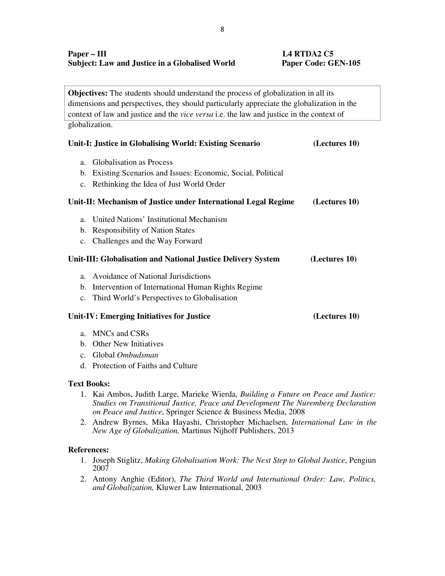**Objectives:** The students should understand the process of globalization in all its dimensions and perspectives, they should particularly appreciate the globalization in the context of law and justice and the *vice versa* i.e. the law and justice in the context of globalization.

| Unit-I: Justice in Globalising World: Existing Scenario             | (Lectures 10) |
|---------------------------------------------------------------------|---------------|
| Globalisation as Process<br>a.                                      |               |
| Existing Scenarios and Issues: Economic, Social, Political<br>b.    |               |
| Rethinking the Idea of Just World Order<br>$\mathbf{c}$ .           |               |
| Unit-II: Mechanism of Justice under International Legal Regime      | (Lectures 10) |
| United Nations' Institutional Mechanism<br>a.                       |               |
| <b>Responsibility of Nation States</b><br>b.                        |               |
| c. Challenges and the Way Forward                                   |               |
| Unit-III: Globalisation and National Justice Delivery System        | (Lectures 10) |
| Avoidance of National Jurisdictions<br>a.                           |               |
| Intervention of International Human Rights Regime<br>$\mathbf{b}$ . |               |
| Third World's Perspectives to Globalisation<br>$\mathbf{c}$ .       |               |
| Unit-IV: Emerging Initiatives for Justice                           | (Lectures 10) |
| a. MNCs and CSRs                                                    |               |

- b. Other New Initiatives
- c. Global *Ombudsman*
- d. Protection of Faiths and Culture

#### **Text Books:**

- 1. Kai Ambos, Judith Large, Marieke Wierda, *Building a Future on Peace and Justice: Studies on Transitional Justice, Peace and Development The Nuremberg Declaration on Peace and Justice*, Springer Science & Business Media, 2008
- 2. Andrew Byrnes, Mika Hayashi, Christopher Michaelsen, *International Law in the New Age of Globalization,* Martinus Nijhoff Publishers, 2013

- 1. Joseph Stiglitz, *Making Globalisation Work: The Next Step to Global Justice*, Pengiun 2007
- 2. Antony Anghie (Editor), *The Third World and International Order: Law, Politics, and Globalization,* Kluwer Law International, 2003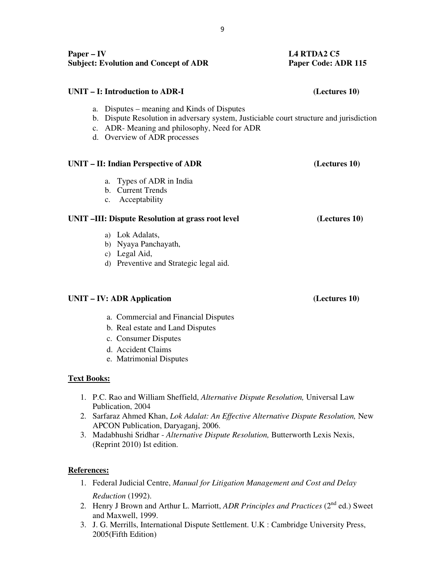| Paper $-$ IV<br><b>Subject: Evolution and Concept of ADR</b>                                                                                                                                                             | <b>L4 RTDA2 C5</b><br>Paper Code: ADR 115 |  |
|--------------------------------------------------------------------------------------------------------------------------------------------------------------------------------------------------------------------------|-------------------------------------------|--|
| UNIT – I: Introduction to ADR-I                                                                                                                                                                                          | (Lectures 10)                             |  |
| a. Disputes – meaning and Kinds of Disputes<br>Dispute Resolution in adversary system, Justiciable court structure and jurisdiction<br>b.<br>c. ADR-Meaning and philosophy, Need for ADR<br>d. Overview of ADR processes |                                           |  |
| UNIT – II: Indian Perspective of ADR                                                                                                                                                                                     | (Lectures 10)                             |  |
| a. Types of ADR in India<br>b. Current Trends<br>c. Acceptability                                                                                                                                                        |                                           |  |
| UNIT -III: Dispute Resolution at grass root level                                                                                                                                                                        | (Lectures 10)                             |  |
| a) Lok Adalats,<br>b) Nyaya Panchayath,<br>c) Legal Aid,<br>d) Preventive and Strategic legal aid.                                                                                                                       |                                           |  |
| UNIT – IV: ADR Application                                                                                                                                                                                               | (Lectures 10)                             |  |

#### a. Commercial and Financial Disputes

- b. Real estate and Land Disputes
- c. Consumer Disputes
- d. Accident Claims
- e. Matrimonial Disputes

#### **Text Books:**

- 1. P.C. Rao and William Sheffield, *Alternative Dispute Resolution,* Universal Law Publication, 2004
- 2. Sarfaraz Ahmed Khan, *Lok Adalat: An Effective Alternative Dispute Resolution,* New APCON Publication, Daryaganj, 2006.
- 3. Madabhushi Sridhar *Alternative Dispute Resolution,* Butterworth Lexis Nexis, (Reprint 2010) Ist edition.

#### **References:**

- 1. Federal Judicial Centre, *Manual for Litigation Management and Cost and Delay Reduction* (1992).
- 2. Henry J Brown and Arthur L. Marriott, *ADR Principles and Practices* (2<sup>nd</sup> ed.) Sweet and Maxwell, 1999.
- 3. J. G. Merrills, International Dispute Settlement. U.K : Cambridge University Press, 2005(Fifth Edition)

9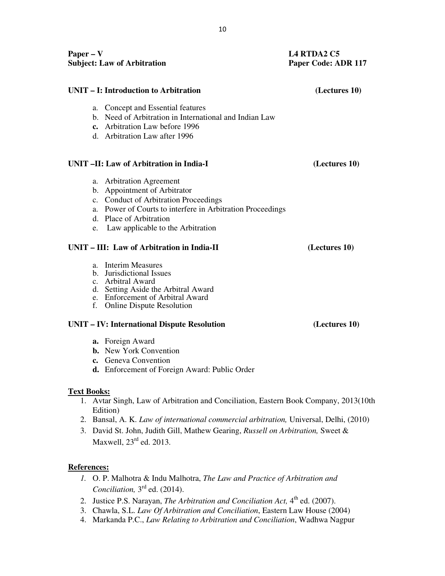| <b>Subject: Law of Arbitration</b> |                                                                                                                                                                                                                                 | Paper Code: ADR 117 |  |
|------------------------------------|---------------------------------------------------------------------------------------------------------------------------------------------------------------------------------------------------------------------------------|---------------------|--|
|                                    | UNIT – I: Introduction to Arbitration                                                                                                                                                                                           | (Lectures 10)       |  |
|                                    | a. Concept and Essential features<br>b. Need of Arbitration in International and Indian Law<br>c. Arbitration Law before 1996<br>d. Arbitration Law after 1996                                                                  |                     |  |
|                                    | UNIT -II: Law of Arbitration in India-I                                                                                                                                                                                         | (Lectures 10)       |  |
| e.                                 | a. Arbitration Agreement<br>b. Appointment of Arbitrator<br>c. Conduct of Arbitration Proceedings<br>a. Power of Courts to interfere in Arbitration Proceedings<br>d. Place of Arbitration<br>Law applicable to the Arbitration |                     |  |
|                                    | UNIT - III: Law of Arbitration in India-II                                                                                                                                                                                      | (Lectures 10)       |  |
|                                    | a. Interim Measures<br>b. Jurisdictional Issues<br>c. Arbitral Award                                                                                                                                                            |                     |  |

- d. Setting Aside the Arbitral Award
- e. Enforcement of Arbitral Award
- f. Online Dispute Resolution

### **UNIT – IV: International Dispute Resolution (Lectures 10)**

- **a.** Foreign Award
- **b.** New York Convention
- **c.** Geneva Convention
- **d.** Enforcement of Foreign Award: Public Order

#### **Text Books:**

- 1. Avtar Singh, Law of Arbitration and Conciliation, Eastern Book Company, 2013(10th Edition)
- 2. Bansal, A. K. *Law of international commercial arbitration,* Universal, Delhi, (2010)
- 3. David St. John, Judith Gill, Mathew Gearing, *Russell on Arbitration,* Sweet & Maxwell,  $23<sup>rd</sup>$  ed. 2013.

### **References:**

- *1.* O. P. Malhotra & Indu Malhotra, *The Law and Practice of Arbitration and*  Conciliation, 3<sup>rd</sup> ed. (2014).
- 2. Justice P.S. Narayan, *The Arbitration and Conciliation Act*, 4<sup>th</sup> ed. (2007).
- 3. Chawla, S.L. *Law Of Arbitration and Conciliation*, Eastern Law House (2004)
- 4. Markanda P.C., *Law Relating to Arbitration and Conciliation*, Wadhwa Nagpur

**Paper – V L4 RTDA2 C5**<br>**Paper – V L4 RTDA2 C5**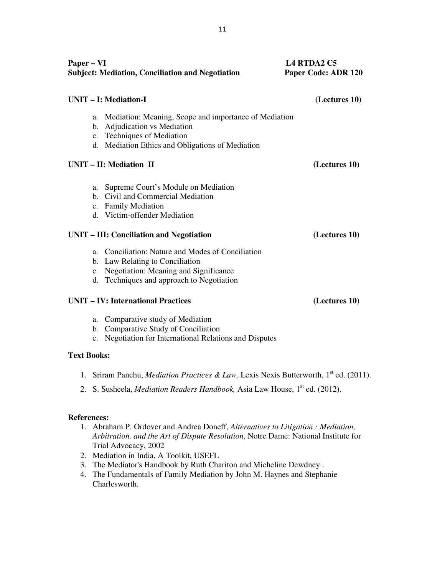| Paper – VI<br><b>Subject: Mediation, Conciliation and Negotiation</b> |                                                                                                                                                                               | <b>L4 RTDA2 C5</b><br>Paper Code: ADR 120 |  |
|-----------------------------------------------------------------------|-------------------------------------------------------------------------------------------------------------------------------------------------------------------------------|-------------------------------------------|--|
|                                                                       | <b>UNIT - I: Mediation-I</b>                                                                                                                                                  | (Lectures 10)                             |  |
| a.                                                                    | Mediation: Meaning, Scope and importance of Mediation<br>b. Adjudication vs Mediation<br>c. Techniques of Mediation<br>d. Mediation Ethics and Obligations of Mediation       |                                           |  |
|                                                                       | UNIT - II: Mediation II                                                                                                                                                       | (Lectures 10)                             |  |
| a.                                                                    | Supreme Court's Module on Mediation<br>b. Civil and Commercial Mediation<br>c. Family Mediation<br>d. Victim-offender Mediation<br>UNIT – III: Conciliation and Negotiation   | (Lectures 10)                             |  |
|                                                                       | a. Conciliation: Nature and Modes of Conciliation<br>b. Law Relating to Conciliation<br>c. Negotiation: Meaning and Significance<br>d. Techniques and approach to Negotiation |                                           |  |
|                                                                       | <b>UNIT - IV: International Practices</b>                                                                                                                                     | (Lectures 10)                             |  |
| $\mathbf{c}$ .                                                        | a. Comparative study of Mediation<br>b. Comparative Study of Conciliation<br>Negotiation for International Relations and Disputes                                             |                                           |  |

#### **Text Books:**

- 1. Sriram Panchu, *Mediation Practices & Law*, Lexis Nexis Butterworth, 1<sup>st</sup> ed. (2011).
- 2. S. Susheela, *Mediation Readers Handbook*, Asia Law House, 1<sup>st</sup> ed. (2012).

#### **References:**

- 1. Abraham P. Ordover and Andrea Doneff, *Alternatives to Litigation : Mediation, Arbitration, and the Art of Dispute Resolution*, Notre Dame: National Institute for Trial Advocacy, 2002
- 2. Mediation in India, A Toolkit, USEFL
- 3. The Mediator's Handbook by Ruth Chariton and Micheline Dewdney .
- 4. The Fundamentals of Family Mediation by John M. Haynes and Stephanie Charlesworth.

11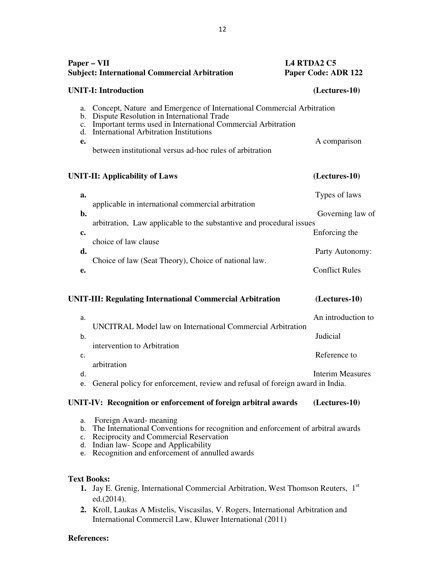| Paper – VII                            | <b>Subject: International Commercial Arbitration</b>                                                                                                                                                                                                                                            | <b>L4 RTDA2 C5</b> | Paper Code: ADR 122     |
|----------------------------------------|-------------------------------------------------------------------------------------------------------------------------------------------------------------------------------------------------------------------------------------------------------------------------------------------------|--------------------|-------------------------|
|                                        | <b>UNIT-I: Introduction</b>                                                                                                                                                                                                                                                                     |                    | (Lectures-10)           |
| a.<br>b.<br>$\mathbf{c}$ .<br>d.<br>e. | Concept, Nature and Emergence of International Commercial Arbitration<br>Dispute Resolution in International Trade<br>Important terms used in International Commercial Arbitration<br><b>International Arbitration Institutions</b><br>between institutional versus ad-hoc rules of arbitration |                    | A comparison            |
|                                        | <b>UNIT-II: Applicability of Laws</b>                                                                                                                                                                                                                                                           |                    | (Lectures-10)           |
| a.                                     |                                                                                                                                                                                                                                                                                                 |                    | Types of laws           |
| b.                                     | applicable in international commercial arbitration                                                                                                                                                                                                                                              |                    | Governing law of        |
| c.                                     | arbitration, Law applicable to the substantive and procedural issues                                                                                                                                                                                                                            |                    | Enforcing the           |
| d.                                     | choice of law clause                                                                                                                                                                                                                                                                            |                    | Party Autonomy:         |
| e.                                     | Choice of law (Seat Theory), Choice of national law.                                                                                                                                                                                                                                            |                    | <b>Conflict Rules</b>   |
|                                        | UNIT-III: Regulating International Commercial Arbitration                                                                                                                                                                                                                                       |                    | (Lectures-10)           |
| a.                                     |                                                                                                                                                                                                                                                                                                 |                    | An introduction to      |
| b.                                     | UNCITRAL Model law on International Commercial Arbitration                                                                                                                                                                                                                                      |                    | Judicial                |
| c.                                     | intervention to Arbitration                                                                                                                                                                                                                                                                     |                    | Reference to            |
| d.<br>e.                               | arbitration<br>General policy for enforcement, review and refusal of foreign award in India.                                                                                                                                                                                                    |                    | <b>Interim Measures</b> |

### **UNIT-IV: Recognition or enforcement of foreign arbitral awards (Lectures-10)**

- a. Foreign Award- meaning
- b. The International Conventions for recognition and enforcement of arbitral awards
- c. Reciprocity and Commercial Reservation
- d. Indian law- Scope and Applicability
- e. Recognition and enforcement of annulled awards

### **Text Books:**

- 1. Jay E. Grenig, International Commercial Arbitration, West Thomson Reuters, 1st ed.(2014).
- **2.** Kroll, Laukas A Mistelis, Viscasilas, V. Rogers, International Arbitration and International Commercil Law, Kluwer International (2011)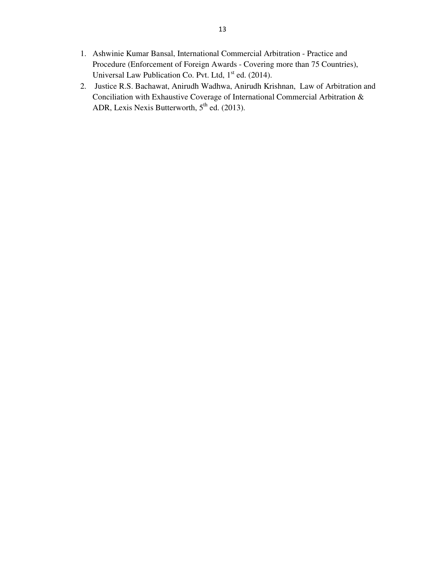- 1. Ashwinie Kumar Bansal, International Commercial Arbitration Practice and Procedure (Enforcement of Foreign Awards - Covering more than 75 Countries), Universal Law Publication Co. Pvt. Ltd,  $1<sup>st</sup>$  ed. (2014).
- 2. Justice R.S. Bachawat, Anirudh Wadhwa, Anirudh Krishnan, Law of Arbitration and Conciliation with Exhaustive Coverage of International Commercial Arbitration & ADR, Lexis Nexis Butterworth,  $5<sup>th</sup>$  ed. (2013).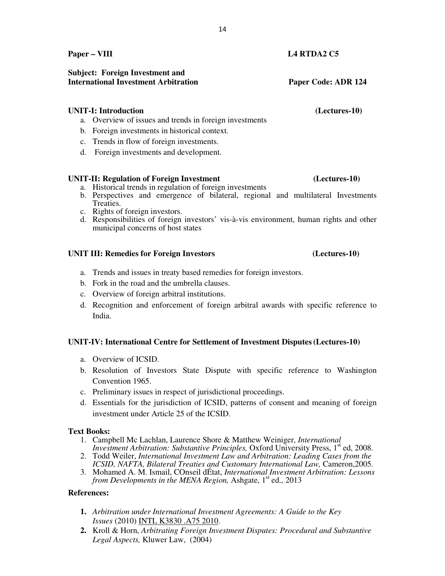**Paper – VIII L4 RTDA2 C5**

# **International Investment Arbitration Paper Code: ADR 124**

### **UNIT-I: Introduction (Lectures-10)**

- a. Overview of issues and trends in foreign investments
- b. Foreign investments in historical context.
- c. Trends in flow of foreign investments.
- d. Foreign investments and development.

#### **UNIT-II: Regulation of Foreign Investment (Lectures-10)**

- a. Historical trends in regulation of foreign investments
- b. Perspectives and emergence of bilateral, regional and multilateral Investments Treaties.
- c. Rights of foreign investors.
- d. Responsibilities of foreign investors' vis-à-vis environment, human rights and other municipal concerns of host states

#### **UNIT III: Remedies for Foreign Investors (Lectures-10)**

- a. Trends and issues in treaty based remedies for foreign investors.
- b. Fork in the road and the umbrella clauses.
- c. Overview of foreign arbitral institutions.
- d. Recognition and enforcement of foreign arbitral awards with specific reference to India.

### **UNIT-IV: International Centre for Settlement of Investment Disputes(Lectures-10)**

- a. Overview of ICSID.
- b. Resolution of Investors State Dispute with specific reference to Washington Convention 1965.
- c. Preliminary issues in respect of jurisdictional proceedings.
- d. Essentials for the jurisdiction of ICSID, patterns of consent and meaning of foreign investment under Article 25 of the ICSID.

#### **Text Books:**

- 1. Campbell Mc Lachlan, Laurence Shore & Matthew Weiniger, *International Investment Arbitration: Substantive Principles, Oxford University Press, 1<sup>st</sup> ed, 2008.*
- 2. Todd Weiler, *International Investment Law and Arbitration: Leading Cases from the ICSID, NAFTA, Bilateral Treaties and Customary International Law, Cameron,2005.*
- 3. Mohamed A. M. Ismail, COnseil dÉtat, *International Investment Arbitration: Lessons from Developments in the MENA Region, Ashgate, 1<sup>st</sup> ed., 2013*

#### **References:**

- **1.** *Arbitration under International Investment Agreements: A Guide to the Key Issues* (2010) INTL K3830 .A75 2010.
- **2.** Kroll & Horn, *Arbitrating Foreign Investment Disputes: Procedural and Substantive Legal Aspects,* Kluwer Law, (2004)

## **Subject: Foreign Investment and**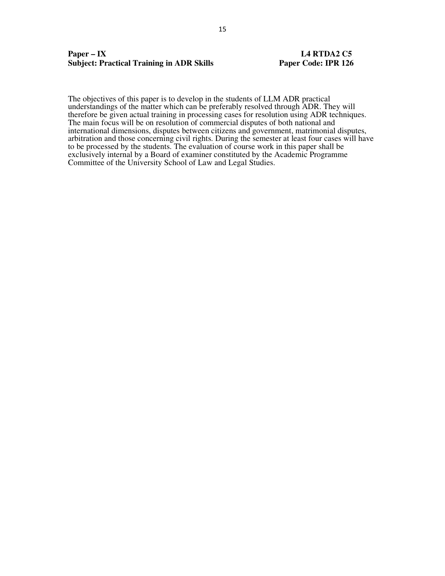#### **Paper – IX L4 RTDA2 C5 Subject: Practical Training in ADR Skills Paper Code: IPR 126**

The objectives of this paper is to develop in the students of LLM ADR practical understandings of the matter which can be preferably resolved through ADR. They will therefore be given actual training in processing cases for resolution using ADR techniques. The main focus will be on resolution of commercial disputes of both national and international dimensions, disputes between citizens and government, matrimonial disputes, arbitration and those concerning civil rights. During the semester at least four cases will have to be processed by the students. The evaluation of course work in this paper shall be exclusively internal by a Board of examiner constituted by the Academic Programme Committee of the University School of Law and Legal Studies.